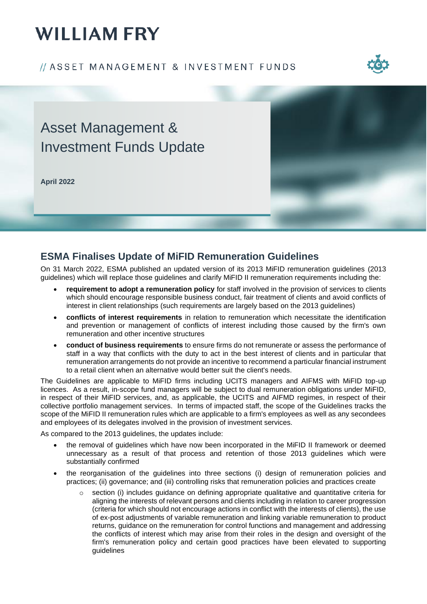# **WILLIAM FRY**

#### // ASSET MANAGEMENT & INVESTMENT FUNDS



## Asset Management & Investment Funds Update

**April 2022**



### **ESMA Finalises Update of MiFID Remuneration Guidelines**

On 31 March 2022, ESMA published an updated version of its 2013 MiFID remuneration guidelines (2013 guidelines) which will replace those guidelines and clarify MiFID II remuneration requirements including the:

- **requirement to adopt a remuneration policy** for staff involved in the provision of services to clients which should encourage responsible business conduct, fair treatment of clients and avoid conflicts of interest in client relationships (such requirements are largely based on the 2013 guidelines)
- **conflicts of interest requirements** in relation to remuneration which necessitate the identification and prevention or management of conflicts of interest including those caused by the firm's own remuneration and other incentive structures
- **conduct of business requirements** to ensure firms do not remunerate or assess the performance of staff in a way that conflicts with the duty to act in the best interest of clients and in particular that remuneration arrangements do not provide an incentive to recommend a particular financial instrument to a retail client when an alternative would better suit the client's needs.

The Guidelines are applicable to MiFID firms including UCITS managers and AIFMS with MiFID top-up licences. As a result, in-scope fund managers will be subject to dual remuneration obligations under MiFID, in respect of their MiFID services, and, as applicable, the UCITS and AIFMD regimes, in respect of their collective portfolio management services. In terms of impacted staff, the scope of the Guidelines tracks the scope of the MiFID II remuneration rules which are applicable to a firm's employees as well as any secondees and employees of its delegates involved in the provision of investment services.

As compared to the 2013 guidelines, the updates include:

- the removal of guidelines which have now been incorporated in the MiFID II framework or deemed unnecessary as a result of that process and retention of those 2013 guidelines which were substantially confirmed
- the reorganisation of the guidelines into three sections (i) design of remuneration policies and practices; (ii) governance; and (iii) controlling risks that remuneration policies and practices create
	- section (i) includes guidance on defining appropriate qualitative and quantitative criteria for aligning the interests of relevant persons and clients including in relation to career progression (criteria for which should not encourage actions in conflict with the interests of clients), the use of ex-post adjustments of variable remuneration and linking variable remuneration to product returns, guidance on the remuneration for control functions and management and addressing the conflicts of interest which may arise from their roles in the design and oversight of the firm's remuneration policy and certain good practices have been elevated to supporting guidelines